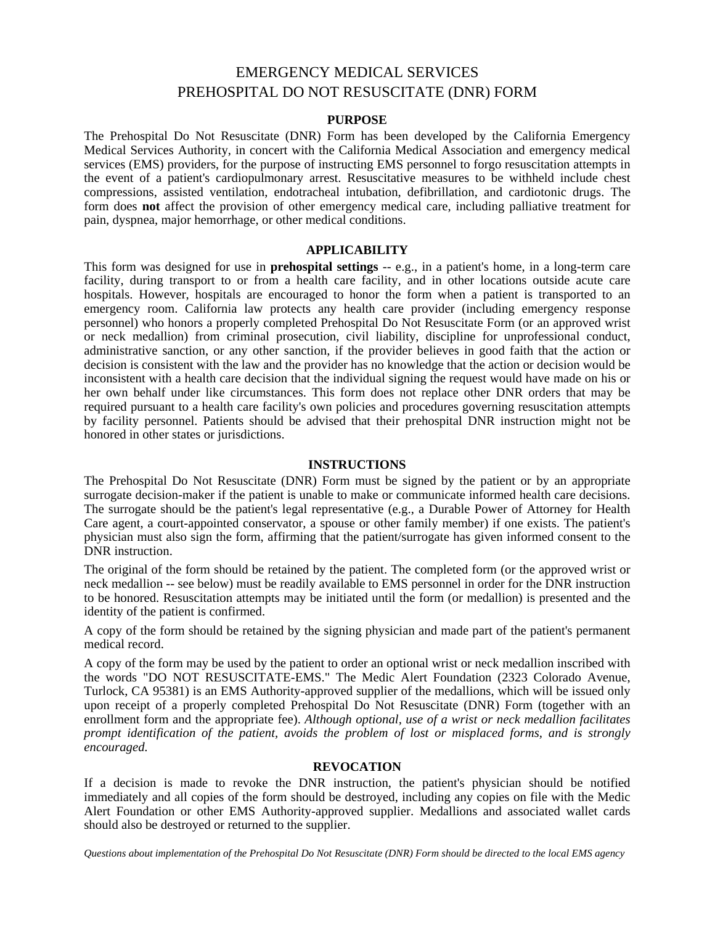# EMERGENCY MEDICAL SERVICES PREHOSPITAL DO NOT RESUSCITATE (DNR) FORM

#### **PURPOSE**

The Prehospital Do Not Resuscitate (DNR) Form has been developed by the California Emergency Medical Services Authority, in concert with the California Medical Association and emergency medical services (EMS) providers, for the purpose of instructing EMS personnel to forgo resuscitation attempts in the event of a patient's cardiopulmonary arrest. Resuscitative measures to be withheld include chest compressions, assisted ventilation, endotracheal intubation, defibrillation, and cardiotonic drugs. The form does **not** affect the provision of other emergency medical care, including palliative treatment for pain, dyspnea, major hemorrhage, or other medical conditions.

#### **APPLICABILITY**

This form was designed for use in **prehospital settings** -- e.g., in a patient's home, in a long-term care facility, during transport to or from a health care facility, and in other locations outside acute care hospitals. However, hospitals are encouraged to honor the form when a patient is transported to an emergency room. California law protects any health care provider (including emergency response personnel) who honors a properly completed Prehospital Do Not Resuscitate Form (or an approved wrist or neck medallion) from criminal prosecution, civil liability, discipline for unprofessional conduct, administrative sanction, or any other sanction, if the provider believes in good faith that the action or decision is consistent with the law and the provider has no knowledge that the action or decision would be inconsistent with a health care decision that the individual signing the request would have made on his or her own behalf under like circumstances. This form does not replace other DNR orders that may be required pursuant to a health care facility's own policies and procedures governing resuscitation attempts by facility personnel. Patients should be advised that their prehospital DNR instruction might not be honored in other states or jurisdictions.

#### **INSTRUCTIONS**

The Prehospital Do Not Resuscitate (DNR) Form must be signed by the patient or by an appropriate surrogate decision-maker if the patient is unable to make or communicate informed health care decisions. The surrogate should be the patient's legal representative (e.g., a Durable Power of Attorney for Health Care agent, a court-appointed conservator, a spouse or other family member) if one exists. The patient's physician must also sign the form, affirming that the patient/surrogate has given informed consent to the DNR instruction.

The original of the form should be retained by the patient. The completed form (or the approved wrist or neck medallion -- see below) must be readily available to EMS personnel in order for the DNR instruction to be honored. Resuscitation attempts may be initiated until the form (or medallion) is presented and the identity of the patient is confirmed.

A copy of the form should be retained by the signing physician and made part of the patient's permanent medical record.

A copy of the form may be used by the patient to order an optional wrist or neck medallion inscribed with the words "DO NOT RESUSCITATE-EMS." The Medic Alert Foundation (2323 Colorado Avenue, Turlock, CA 95381) is an EMS Authority-approved supplier of the medallions, which will be issued only upon receipt of a properly completed Prehospital Do Not Resuscitate (DNR) Form (together with an enrollment form and the appropriate fee). *Although optional, use of a wrist or neck medallion facilitates prompt identification of the patient, avoids the problem of lost or misplaced forms, and is strongly encouraged.* 

#### **REVOCATION**

If a decision is made to revoke the DNR instruction, the patient's physician should be notified immediately and all copies of the form should be destroyed, including any copies on file with the Medic Alert Foundation or other EMS Authority-approved supplier. Medallions and associated wallet cards should also be destroyed or returned to the supplier.